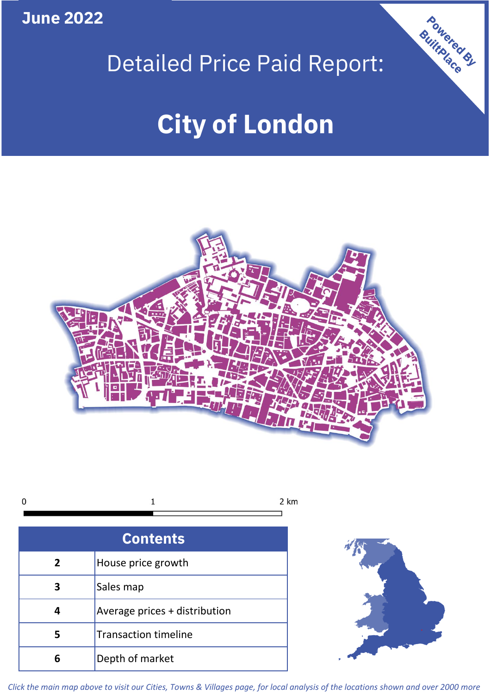**June 2022**



# **City of London**



 $\mathbf 1$ 2 km  $\mathbf 0$ 

| <b>Contents</b> |                               |  |  |
|-----------------|-------------------------------|--|--|
| $\overline{2}$  | House price growth            |  |  |
| З               | Sales map                     |  |  |
|                 | Average prices + distribution |  |  |
| 5               | <b>Transaction timeline</b>   |  |  |
|                 | Depth of market               |  |  |



*Click the main map above to visit our Cities, Towns & Villages page, for local analysis of the locations shown and over 2000 more*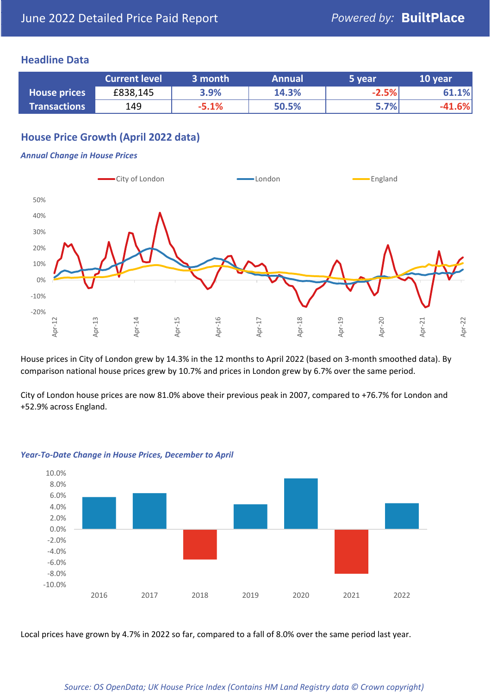#### **Headline Data**

|                     | <b>Current level</b> | 3 month | <b>Annual</b> | 5 year  | 10 year  |
|---------------------|----------------------|---------|---------------|---------|----------|
| <b>House prices</b> | £838,145             | 3.9%    | 14.3%         | $-2.5%$ | 61.1%    |
| <b>Transactions</b> | 149                  | $-5.1%$ | 50.5%         | 5.7%    | $-41.6%$ |

# **House Price Growth (April 2022 data)**

#### *Annual Change in House Prices*



House prices in City of London grew by 14.3% in the 12 months to April 2022 (based on 3-month smoothed data). By comparison national house prices grew by 10.7% and prices in London grew by 6.7% over the same period.

City of London house prices are now 81.0% above their previous peak in 2007, compared to +76.7% for London and +52.9% across England.



#### *Year-To-Date Change in House Prices, December to April*

Local prices have grown by 4.7% in 2022 so far, compared to a fall of 8.0% over the same period last year.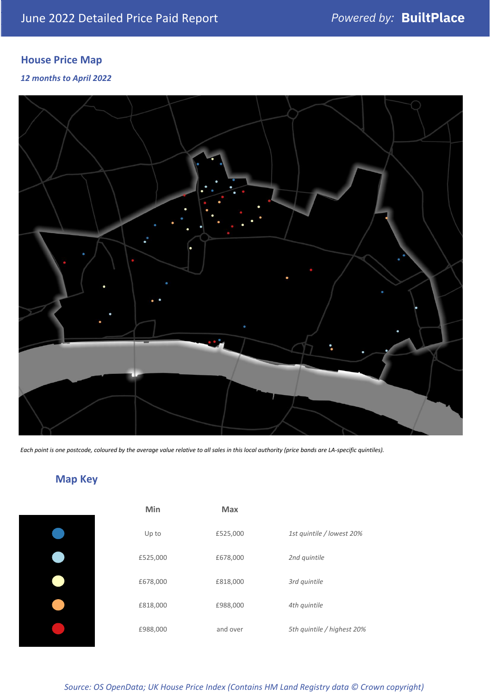# **House Price Map**

*12 months to April 2022*



*Each point is one postcode, coloured by the average value relative to all sales in this local authority (price bands are LA-specific quintiles).*

# **Map Key**

| Min      | <b>Max</b> |                            |
|----------|------------|----------------------------|
| Up to    | £525,000   | 1st quintile / lowest 20%  |
| £525,000 | £678,000   | 2nd quintile               |
| £678,000 | £818,000   | 3rd quintile               |
| £818,000 | £988,000   | 4th quintile               |
| £988,000 | and over   | 5th quintile / highest 20% |

*Source: OS OpenData; UK House Price Index (Contains HM Land Registry data © Crown copyright)*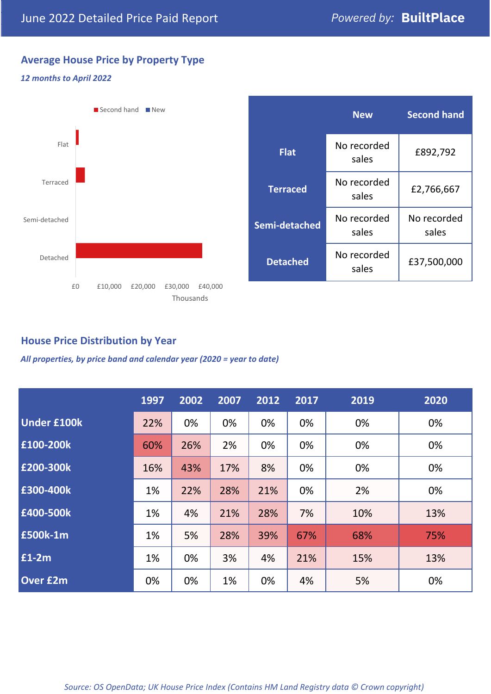## **Average House Price by Property Type**

#### *12 months to April 2022*



# **House Price Distribution by Year**

*All properties, by price band and calendar year (2020 = year to date)*

|                    | 1997 | 2002 | 2007 | 2012 | 2017 | 2019 | 2020 |
|--------------------|------|------|------|------|------|------|------|
| <b>Under £100k</b> | 22%  | 0%   | 0%   | 0%   | 0%   | 0%   | 0%   |
| £100-200k          | 60%  | 26%  | 2%   | 0%   | 0%   | 0%   | 0%   |
| E200-300k          | 16%  | 43%  | 17%  | 8%   | 0%   | 0%   | 0%   |
| £300-400k          | 1%   | 22%  | 28%  | 21%  | 0%   | 2%   | 0%   |
| £400-500k          | 1%   | 4%   | 21%  | 28%  | 7%   | 10%  | 13%  |
| <b>£500k-1m</b>    | 1%   | 5%   | 28%  | 39%  | 67%  | 68%  | 75%  |
| £1-2m              | 1%   | 0%   | 3%   | 4%   | 21%  | 15%  | 13%  |
| <b>Over £2m</b>    | 0%   | 0%   | 1%   | 0%   | 4%   | 5%   | 0%   |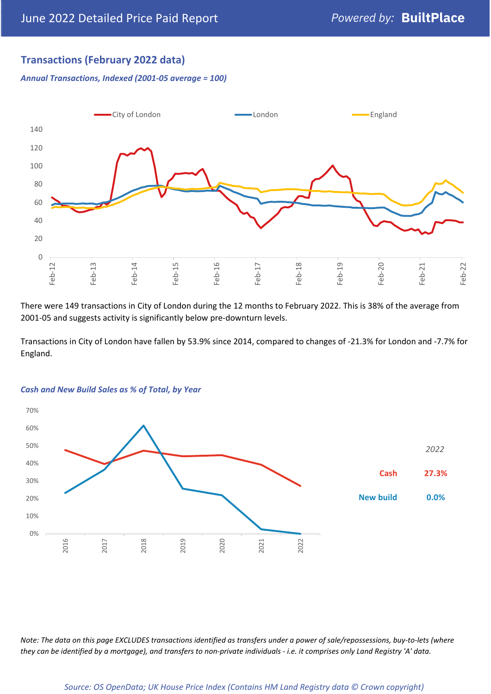# **Transactions (February 2022 data)**

*Annual Transactions, Indexed (2001-05 average = 100)*



There were 149 transactions in City of London during the 12 months to February 2022. This is 38% of the average from 2001-05 and suggests activity is significantly below pre-downturn levels.

Transactions in City of London have fallen by 53.9% since 2014, compared to changes of -21.3% for London and -7.7% for England.



#### *Cash and New Build Sales as % of Total, by Year*

*Note: The data on this page EXCLUDES transactions identified as transfers under a power of sale/repossessions, buy-to-lets (where they can be identified by a mortgage), and transfers to non-private individuals - i.e. it comprises only Land Registry 'A' data.*